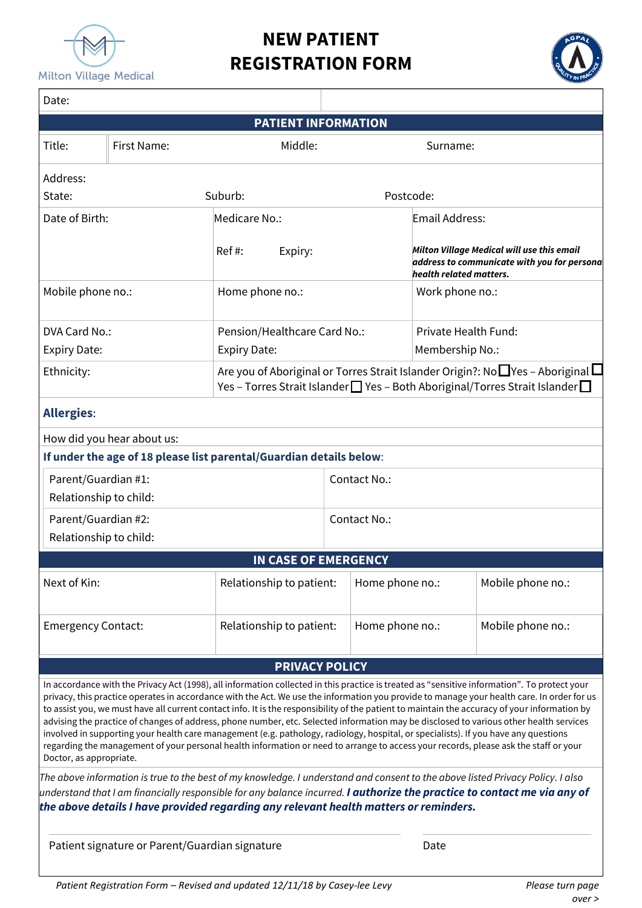

# **NEW PATIENT REGISTRATION FORM**



| Date:                   |                                                       |                                                                                                                                                                                                                                                                                                                                                                                                                                                                                                                                                                                                                                                                                                                                                                                                                                                                                                                                                                                             |                                                                                                                                                                                 |                                                                                                                      |                      |                                                                                                                                            |  |  |  |
|-------------------------|-------------------------------------------------------|---------------------------------------------------------------------------------------------------------------------------------------------------------------------------------------------------------------------------------------------------------------------------------------------------------------------------------------------------------------------------------------------------------------------------------------------------------------------------------------------------------------------------------------------------------------------------------------------------------------------------------------------------------------------------------------------------------------------------------------------------------------------------------------------------------------------------------------------------------------------------------------------------------------------------------------------------------------------------------------------|---------------------------------------------------------------------------------------------------------------------------------------------------------------------------------|----------------------------------------------------------------------------------------------------------------------|----------------------|--------------------------------------------------------------------------------------------------------------------------------------------|--|--|--|
|                         |                                                       | <b>PATIENT INFORMATION</b>                                                                                                                                                                                                                                                                                                                                                                                                                                                                                                                                                                                                                                                                                                                                                                                                                                                                                                                                                                  |                                                                                                                                                                                 |                                                                                                                      |                      |                                                                                                                                            |  |  |  |
| Title:                  | First Name:                                           | Middle:                                                                                                                                                                                                                                                                                                                                                                                                                                                                                                                                                                                                                                                                                                                                                                                                                                                                                                                                                                                     |                                                                                                                                                                                 | Surname:                                                                                                             |                      |                                                                                                                                            |  |  |  |
| Address:                |                                                       |                                                                                                                                                                                                                                                                                                                                                                                                                                                                                                                                                                                                                                                                                                                                                                                                                                                                                                                                                                                             |                                                                                                                                                                                 |                                                                                                                      |                      |                                                                                                                                            |  |  |  |
| State:                  |                                                       | Suburb:                                                                                                                                                                                                                                                                                                                                                                                                                                                                                                                                                                                                                                                                                                                                                                                                                                                                                                                                                                                     |                                                                                                                                                                                 |                                                                                                                      | Postcode:            |                                                                                                                                            |  |  |  |
| Date of Birth:          |                                                       | Medicare No.:                                                                                                                                                                                                                                                                                                                                                                                                                                                                                                                                                                                                                                                                                                                                                                                                                                                                                                                                                                               |                                                                                                                                                                                 |                                                                                                                      | Email Address:       |                                                                                                                                            |  |  |  |
|                         |                                                       | $Ref#$ :<br>Expiry:                                                                                                                                                                                                                                                                                                                                                                                                                                                                                                                                                                                                                                                                                                                                                                                                                                                                                                                                                                         |                                                                                                                                                                                 | Milton Village Medical will use this email<br>address to communicate with you for persona<br>health related matters. |                      |                                                                                                                                            |  |  |  |
| Mobile phone no.:       |                                                       | Home phone no.:                                                                                                                                                                                                                                                                                                                                                                                                                                                                                                                                                                                                                                                                                                                                                                                                                                                                                                                                                                             |                                                                                                                                                                                 |                                                                                                                      | Work phone no.:      |                                                                                                                                            |  |  |  |
| DVA Card No.:           |                                                       | Pension/Healthcare Card No.:                                                                                                                                                                                                                                                                                                                                                                                                                                                                                                                                                                                                                                                                                                                                                                                                                                                                                                                                                                |                                                                                                                                                                                 |                                                                                                                      | Private Health Fund: |                                                                                                                                            |  |  |  |
| <b>Expiry Date:</b>     |                                                       | <b>Expiry Date:</b>                                                                                                                                                                                                                                                                                                                                                                                                                                                                                                                                                                                                                                                                                                                                                                                                                                                                                                                                                                         |                                                                                                                                                                                 |                                                                                                                      | Membership No.:      |                                                                                                                                            |  |  |  |
| Ethnicity:              |                                                       |                                                                                                                                                                                                                                                                                                                                                                                                                                                                                                                                                                                                                                                                                                                                                                                                                                                                                                                                                                                             | Are you of Aboriginal or Torres Strait Islander Origin?: No $\square$ Yes - Aboriginal $\square$<br>Yes - Torres Strait Islander   Yes - Both Aboriginal/Torres Strait Islander |                                                                                                                      |                      |                                                                                                                                            |  |  |  |
| <b>Allergies:</b>       |                                                       |                                                                                                                                                                                                                                                                                                                                                                                                                                                                                                                                                                                                                                                                                                                                                                                                                                                                                                                                                                                             |                                                                                                                                                                                 |                                                                                                                      |                      |                                                                                                                                            |  |  |  |
|                         | How did you hear about us:                            |                                                                                                                                                                                                                                                                                                                                                                                                                                                                                                                                                                                                                                                                                                                                                                                                                                                                                                                                                                                             |                                                                                                                                                                                 |                                                                                                                      |                      |                                                                                                                                            |  |  |  |
|                         |                                                       | If under the age of 18 please list parental/Guardian details below:                                                                                                                                                                                                                                                                                                                                                                                                                                                                                                                                                                                                                                                                                                                                                                                                                                                                                                                         |                                                                                                                                                                                 |                                                                                                                      |                      |                                                                                                                                            |  |  |  |
| Parent/Guardian #1:     |                                                       |                                                                                                                                                                                                                                                                                                                                                                                                                                                                                                                                                                                                                                                                                                                                                                                                                                                                                                                                                                                             | Contact No.:                                                                                                                                                                    |                                                                                                                      |                      |                                                                                                                                            |  |  |  |
|                         | Relationship to child:                                |                                                                                                                                                                                                                                                                                                                                                                                                                                                                                                                                                                                                                                                                                                                                                                                                                                                                                                                                                                                             |                                                                                                                                                                                 |                                                                                                                      |                      |                                                                                                                                            |  |  |  |
| Parent/Guardian #2:     |                                                       |                                                                                                                                                                                                                                                                                                                                                                                                                                                                                                                                                                                                                                                                                                                                                                                                                                                                                                                                                                                             | Contact No.:                                                                                                                                                                    |                                                                                                                      |                      |                                                                                                                                            |  |  |  |
| Relationship to child:  |                                                       |                                                                                                                                                                                                                                                                                                                                                                                                                                                                                                                                                                                                                                                                                                                                                                                                                                                                                                                                                                                             |                                                                                                                                                                                 |                                                                                                                      |                      |                                                                                                                                            |  |  |  |
|                         |                                                       | <b>IN CASE OF EMERGENCY</b>                                                                                                                                                                                                                                                                                                                                                                                                                                                                                                                                                                                                                                                                                                                                                                                                                                                                                                                                                                 |                                                                                                                                                                                 |                                                                                                                      |                      |                                                                                                                                            |  |  |  |
| Next of Kin:            | Relationship to patient:                              |                                                                                                                                                                                                                                                                                                                                                                                                                                                                                                                                                                                                                                                                                                                                                                                                                                                                                                                                                                                             |                                                                                                                                                                                 | Home phone no.:                                                                                                      |                      | Mobile phone no.:                                                                                                                          |  |  |  |
|                         | Relationship to patient:<br><b>Emergency Contact:</b> |                                                                                                                                                                                                                                                                                                                                                                                                                                                                                                                                                                                                                                                                                                                                                                                                                                                                                                                                                                                             |                                                                                                                                                                                 | Home phone no.:                                                                                                      |                      | Mobile phone no.:                                                                                                                          |  |  |  |
|                         |                                                       | <b>PRIVACY POLICY</b>                                                                                                                                                                                                                                                                                                                                                                                                                                                                                                                                                                                                                                                                                                                                                                                                                                                                                                                                                                       |                                                                                                                                                                                 |                                                                                                                      |                      |                                                                                                                                            |  |  |  |
| Doctor, as appropriate. |                                                       | In accordance with the Privacy Act (1998), all information collected in this practice is treated as "sensitive information". To protect your<br>to assist you, we must have all current contact info. It is the responsibility of the patient to maintain the accuracy of your information by<br>advising the practice of changes of address, phone number, etc. Selected information may be disclosed to various other health services<br>involved in supporting your health care management (e.g. pathology, radiology, hospital, or specialists). If you have any questions<br>regarding the management of your personal health information or need to arrange to access your records, please ask the staff or your<br>The above information is true to the best of my knowledge. I understand and consent to the above listed Privacy Policy. I also<br>understand that I am financially responsible for any balance incurred. <b>I authorize the practice to contact me via any of</b> |                                                                                                                                                                                 |                                                                                                                      |                      | privacy, this practice operates in accordance with the Act. We use the information you provide to manage your health care. In order for us |  |  |  |
|                         |                                                       | the above details I have provided regarding any relevant health matters or reminders.                                                                                                                                                                                                                                                                                                                                                                                                                                                                                                                                                                                                                                                                                                                                                                                                                                                                                                       |                                                                                                                                                                                 |                                                                                                                      |                      |                                                                                                                                            |  |  |  |
|                         | Patient signature or Parent/Guardian signature        |                                                                                                                                                                                                                                                                                                                                                                                                                                                                                                                                                                                                                                                                                                                                                                                                                                                                                                                                                                                             |                                                                                                                                                                                 |                                                                                                                      | Date                 |                                                                                                                                            |  |  |  |
|                         |                                                       |                                                                                                                                                                                                                                                                                                                                                                                                                                                                                                                                                                                                                                                                                                                                                                                                                                                                                                                                                                                             |                                                                                                                                                                                 |                                                                                                                      |                      |                                                                                                                                            |  |  |  |